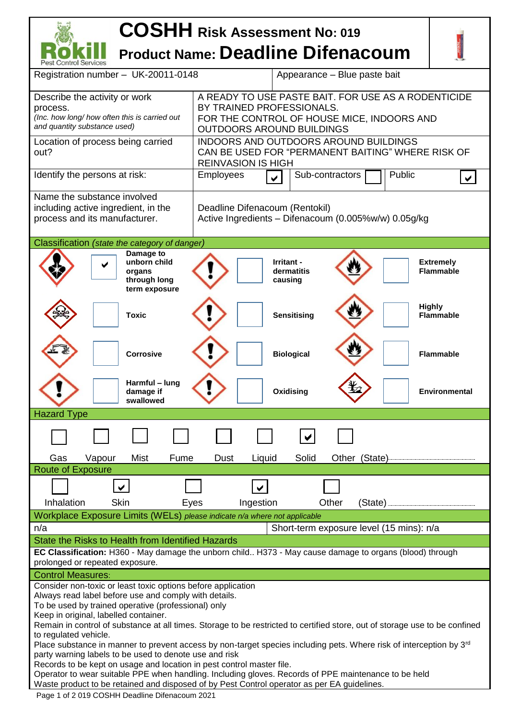## **COSHH Risk Assessment No: <sup>019</sup> Product Name: Deadline Difenacoum**

| Pest Control Services                                                                                                                                        |                                                                                                                                                             |  |  |  |  |
|--------------------------------------------------------------------------------------------------------------------------------------------------------------|-------------------------------------------------------------------------------------------------------------------------------------------------------------|--|--|--|--|
| Registration number - UK-20011-0148                                                                                                                          | Appearance - Blue paste bait                                                                                                                                |  |  |  |  |
| Describe the activity or work<br>process.<br>(Inc. how long/ how often this is carried out<br>and quantity substance used)                                   | A READY TO USE PASTE BAIT. FOR USE AS A RODENTICIDE<br>BY TRAINED PROFESSIONALS.<br>FOR THE CONTROL OF HOUSE MICE, INDOORS AND<br>OUTDOORS AROUND BUILDINGS |  |  |  |  |
| Location of process being carried<br>out?                                                                                                                    | INDOORS AND OUTDOORS AROUND BUILDINGS<br>CAN BE USED FOR "PERMANENT BAITING" WHERE RISK OF<br><b>REINVASION IS HIGH</b>                                     |  |  |  |  |
| Identify the persons at risk:                                                                                                                                | Public<br><b>Employees</b><br>Sub-contractors<br>✔                                                                                                          |  |  |  |  |
| Name the substance involved<br>including active ingredient, in the<br>process and its manufacturer.                                                          | Deadline Difenacoum (Rentokil)<br>Active Ingredients - Difenacoum (0.005%w/w) 0.05g/kg                                                                      |  |  |  |  |
| Classification (state the category of danger)                                                                                                                |                                                                                                                                                             |  |  |  |  |
| Damage to<br>unborn child<br>organs<br>through long<br>term exposure                                                                                         | Irritant -<br><b>Extremely</b><br>dermatitis<br><b>Flammable</b><br>causing                                                                                 |  |  |  |  |
| <b>Toxic</b>                                                                                                                                                 | <b>Highly</b><br><b>Sensitising</b><br><b>Flammable</b>                                                                                                     |  |  |  |  |
| <b>Corrosive</b>                                                                                                                                             | <b>Biological</b><br><b>Flammable</b>                                                                                                                       |  |  |  |  |
| Harmful - lung<br>damage if<br>swallowed                                                                                                                     | Oxidising<br><b>Environmental</b>                                                                                                                           |  |  |  |  |
| <b>Hazard Type</b>                                                                                                                                           |                                                                                                                                                             |  |  |  |  |
|                                                                                                                                                              |                                                                                                                                                             |  |  |  |  |
| Gas<br>Vapour<br>Mist<br>Fume                                                                                                                                | Solid<br>Other (State)<br>Dust<br>Liquid                                                                                                                    |  |  |  |  |
| <b>Route of Exposure</b>                                                                                                                                     |                                                                                                                                                             |  |  |  |  |
| $\checkmark$                                                                                                                                                 |                                                                                                                                                             |  |  |  |  |
| Skin<br>Inhalation<br>Eyes                                                                                                                                   | Other<br>Ingestion<br>(State)                                                                                                                               |  |  |  |  |
| Workplace Exposure Limits (WELs) please indicate n/a where not applicable                                                                                    |                                                                                                                                                             |  |  |  |  |
| n/a                                                                                                                                                          | Short-term exposure level (15 mins): n/a                                                                                                                    |  |  |  |  |
| State the Risks to Health from Identified Hazards<br>EC Classification: H360 - May damage the unborn child H373 - May cause damage to organs (blood) through |                                                                                                                                                             |  |  |  |  |
| prolonged or repeated exposure.                                                                                                                              |                                                                                                                                                             |  |  |  |  |
| <b>Control Measures:</b>                                                                                                                                     |                                                                                                                                                             |  |  |  |  |
| Consider non-toxic or least toxic options before application                                                                                                 |                                                                                                                                                             |  |  |  |  |
| Always read label before use and comply with details.<br>To be used by trained operative (professional) only                                                 |                                                                                                                                                             |  |  |  |  |
| Keep in original, labelled container.                                                                                                                        |                                                                                                                                                             |  |  |  |  |
| Remain in control of substance at all times. Storage to be restricted to certified store, out of storage use to be confined<br>to regulated vehicle.         |                                                                                                                                                             |  |  |  |  |
| Place substance in manner to prevent access by non-target species including pets. Where risk of interception by 3 <sup>rd</sup>                              |                                                                                                                                                             |  |  |  |  |
| party warning labels to be used to denote use and risk<br>Records to be kept on usage and location in pest control master file.                              |                                                                                                                                                             |  |  |  |  |
|                                                                                                                                                              | Operator to wear suitable PPE when handling. Including gloves. Records of PPE maintenance to be held                                                        |  |  |  |  |
| Waste product to be retained and disposed of by Pest Control operator as per EA guidelines.                                                                  |                                                                                                                                                             |  |  |  |  |
| Page 1 of 2 019 COSHH Deadline Difenacoum 2021                                                                                                               |                                                                                                                                                             |  |  |  |  |